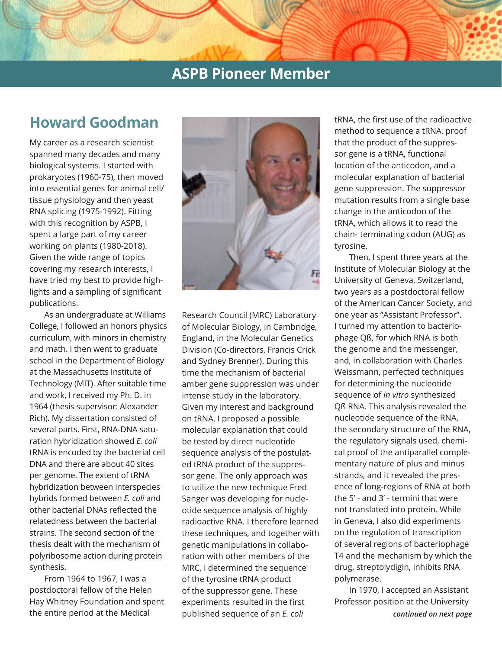# **Howard Goodman**

My career as a research scientist spanned many decades and many biological systems. I started with prokaryotes (1960-75), then moved into essential genes for animal cell/ tissue physiology and then yeast RNA splicing (1975-1992). Fitting with this recognition by ASPB, I spent a large part of my career working on plants (1980-2018). Given the wide range of topics covering my research interests, I have tried my best to provide highlights and a sampling of significant publications.

As an undergraduate at Williams College, I followed an honors physics curriculum, with minors in chemistry and math. I then went to graduate school in the Department of Biology at the Massachusetts Institute of Technology (MIT). After suitable time and work, I received my Ph. D. in 1964 (thesis supervisor: Alexander Rich). My dissertation consisted of several parts. First, RNA-DNA saturation hybridization showed *E. coli* tRNA is encoded by the bacterial cell DNA and there are about 40 sites per genome. The extent of tRNA hybridization between interspecies hybrids formed between *E. coli* and other bacterial DNAs reflected the relatedness between the bacterial strains. The second section of the thesis dealt with the mechanism of polyribosome action during protein synthesis.

From 1964 to 1967, I was a postdoctoral fellow of the Helen Hay Whitney Foundation and spent the entire period at the Medical



Research Council (MRC) Laboratory of Molecular Biology, in Cambridge, England, in the Molecular Genetics Division (Co-directors, Francis Crick and Sydney Brenner). During this time the mechanism of bacterial amber gene suppression was under intense study in the laboratory. Given my interest and background on tRNA, I proposed a possible molecular explanation that could be tested by direct nucleotide sequence analysis of the postulated tRNA product of the suppressor gene. The only approach was to utilize the new technique Fred Sanger was developing for nucleotide sequence analysis of highly radioactive RNA. I therefore learned these techniques, and together with genetic manipulations in collaboration with other members of the MRC, I determined the sequence of the tyrosine tRNA product of the suppressor gene. These experiments resulted in the first published sequence of an *E. coli*

tRNA, the first use of the radioactive method to sequence a tRNA, proof that the product of the suppressor gene is a tRNA, functional location of the anticodon, and a molecular explanation of bacterial gene suppression. The suppressor mutation results from a single base change in the anticodon of the tRNA, which allows it to read the chain- terminating codon (AUG) as tyrosine.

Then, I spent three years at the Institute of Molecular Biology at the University of Geneva, Switzerland, two years as a postdoctoral fellow of the American Cancer Society, and one year as "Assistant Professor". I turned my attention to bacteriophage Qß, for which RNA is both the genome and the messenger, and, in collaboration with Charles Weissmann, perfected techniques for determining the nucleotide sequence of *in vitro* synthesized Qß RNA. This analysis revealed the nucleotide sequence of the RNA, the secondary structure of the RNA, the regulatory signals used, chemical proof of the antiparallel complementary nature of plus and minus strands, and it revealed the presence of long-regions of RNA at both the 5' - and 3' - termini that were not translated into protein. While in Geneva, I also did experiments on the regulation of transcription of several regions of bacteriophage T4 and the mechanism by which the drug, streptolydigin, inhibits RNA polymerase.

In 1970, I accepted an Assistant Professor position at the University *continued on next page*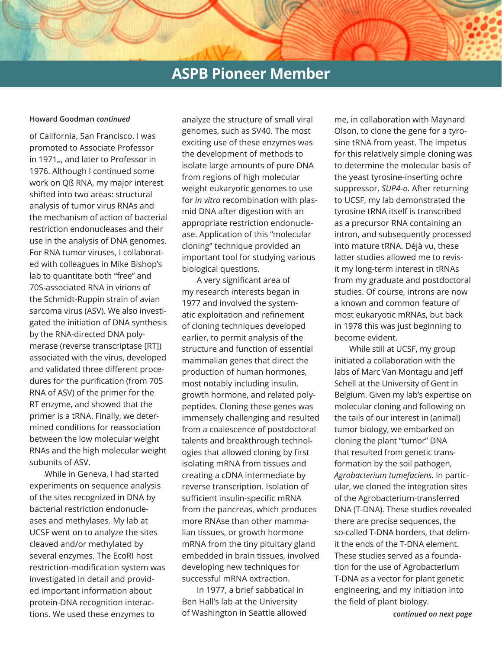### **Howard Goodman** *continued*

of California, San Francisco. I was promoted to Associate Professor in 1971 , and later to Professor in 1976. Although I continued some work on Qß RNA, my major interest shifted into two areas: structural analysis of tumor virus RNAs and the mechanism of action of bacterial restriction endonucleases and their use in the analysis of DNA genomes. For RNA tumor viruses, I collaborated with colleagues in Mike Bishop's lab to quantitate both "free" and 70S-associated RNA in virions of the Schmidt-Ruppin strain of avian sarcoma virus (ASV). We also investigated the initiation of DNA synthesis by the RNA-directed DNA polymerase (reverse transcriptase [RT]) associated with the virus, developed and validated three different procedures for the purification (from 70S RNA of ASV) of the primer for the RT enzyme, and showed that the primer is a tRNA. Finally, we determined conditions for reassociation between the low molecular weight RNAs and the high molecular weight subunits of ASV.

While in Geneva, I had started experiments on sequence analysis of the sites recognized in DNA by bacterial restriction endonucleases and methylases. My lab at UCSF went on to analyze the sites cleaved and/or methylated by several enzymes. The EcoRI host restriction-modification system was investigated in detail and provided important information about protein-DNA recognition interactions. We used these enzymes to

analyze the structure of small viral genomes, such as SV40. The most exciting use of these enzymes was the development of methods to isolate large amounts of pure DNA from regions of high molecular weight eukaryotic genomes to use for *in vitro* recombination with plasmid DNA after digestion with an appropriate restriction endonuclease. Application of this "molecular cloning" technique provided an important tool for studying various biological questions.

A very significant area of my research interests began in 1977 and involved the systematic exploitation and refinement of cloning techniques developed earlier, to permit analysis of the structure and function of essential mammalian genes that direct the production of human hormones, most notably including insulin, growth hormone, and related polypeptides. Cloning these genes was immensely challenging and resulted from a coalescence of postdoctoral talents and breakthrough technologies that allowed cloning by first isolating mRNA from tissues and creating a cDNA intermediate by reverse transcription. Isolation of sufficient insulin-specific mRNA from the pancreas, which produces more RNAse than other mammalian tissues, or growth hormone mRNA from the tiny pituitary gland embedded in brain tissues, involved developing new techniques for successful mRNA extraction.

In 1977, a brief sabbatical in Ben Hall's lab at the University of Washington in Seattle allowed me, in collaboration with Maynard Olson, to clone the gene for a tyrosine tRNA from yeast. The impetus for this relatively simple cloning was to determine the molecular basis of the yeast tyrosine-inserting ochre suppressor, *SUP4*-*o*. After returning to UCSF, my lab demonstrated the tyrosine tRNA itself is transcribed as a precursor RNA containing an intron, and subsequently processed into mature tRNA. Déjà vu, these latter studies allowed me to revisit my long-term interest in tRNAs from my graduate and postdoctoral studies. Of course, introns are now a known and common feature of most eukaryotic mRNAs, but back in 1978 this was just beginning to become evident.

While still at UCSF, my group initiated a collaboration with the labs of Marc Van Montagu and Jeff Schell at the University of Gent in Belgium. Given my lab's expertise on molecular cloning and following on the tails of our interest in (animal) tumor biology, we embarked on cloning the plant "tumor" DNA that resulted from genetic transformation by the soil pathogen, *Agrobacterium tumefaciens.* In particular, we cloned the integration sites of the Agrobacterium-transferred DNA (T-DNA). These studies revealed there are precise sequences, the so-called T-DNA borders, that delimit the ends of the T-DNA element. These studies served as a foundation for the use of Agrobacterium T-DNA as a vector for plant genetic engineering, and my initiation into the field of plant biology.

*continued on next page*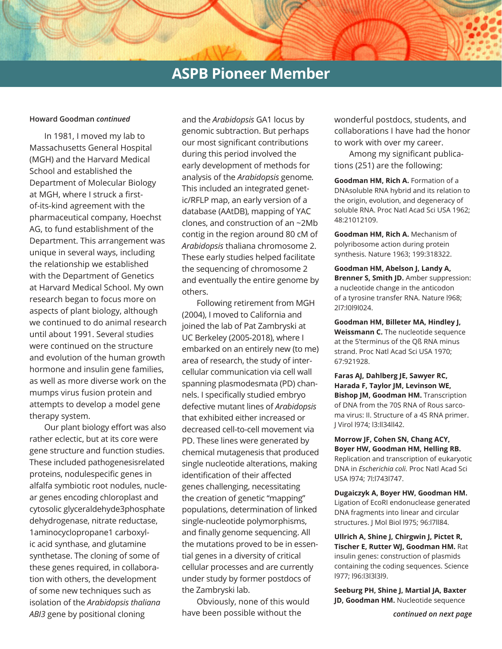#### **Howard Goodman** *continued*

In 1981, I moved my lab to Massachusetts General Hospital (MGH) and the Harvard Medical School and established the Department of Molecular Biology at MGH, where I struck a firstof-its-kind agreement with the pharmaceutical company, Hoechst AG, to fund establishment of the Department. This arrangement was unique in several ways, including the relationship we established with the Department of Genetics at Harvard Medical School. My own research began to focus more on aspects of plant biology, although we continued to do animal research until about 1991. Several studies were continued on the structure and evolution of the human growth hormone and insulin gene families, as well as more diverse work on the mumps virus fusion protein and attempts to develop a model gene therapy system.

Our plant biology effort was also rather eclectic, but at its core were gene structure and function studies. These included pathogenesisrelated proteins, nodulespecific genes in alfalfa symbiotic root nodules, nuclear genes encoding chloroplast and cytosolic glyceraldehyde3phosphate dehydrogenase, nitrate reductase, 1aminocyclopropane1 carboxylic acid synthase, and glutamine synthetase. The cloning of some of these genes required, in collaboration with others, the development of some new techniques such as isolation of the *Arabidopsis thaliana ABI3* gene by positional cloning

and the *Arabidopsis* GA1 locus by genomic subtraction. But perhaps our most significant contributions during this period involved the early development of methods for analysis of the *Arabidopsis* genome*.*  This included an integrated genetic/RFLP map, an early version of a database (AAtDB), mapping of YAC clones, and construction of an ~2Mb contig in the region around 80 cM of *Arabidopsis* thaliana chromosome 2. These early studies helped facilitate the sequencing of chromosome 2 and eventually the entire genome by others.

Following retirement from MGH (2004), I moved to California and joined the lab of Pat Zambryski at UC Berkeley (2005-2018), where I embarked on an entirely new (to me) area of research, the study of intercellular communication via cell wall spanning plasmodesmata (PD) channels. I specifically studied embryo defective mutant lines of *Arabidopsis* that exhibited either increased or decreased cell-to-cell movement via PD. These lines were generated by chemical mutagenesis that produced single nucleotide alterations, making identification of their affected genes challenging, necessitating the creation of genetic "mapping" populations, determination of linked single-nucleotide polymorphisms, and finally genome sequencing. All the mutations proved to be in essential genes in a diversity of critical cellular processes and are currently under study by former postdocs of the Zambryski lab.

Obviously, none of this would have been possible without the

wonderful postdocs, students, and collaborations I have had the honor to work with over my career.

Among my significant publications (251) are the following:

**Goodman HM, Rich A. Formation of a** DNAsoluble RNA hybrid and its relation to the origin, evolution, and degeneracy of soluble RNA. Proc Natl Acad Sci USA 1962; 48:21012109.

**Goodman HM, Rich A.** Mechanism of polyribosome action during protein synthesis. Nature 1963; 199:318322.

**Goodman HM, Abelson J, Landy A, Brenner S, Smith JD.** Amber suppression: a nucleotide change in the anticodon of a tyrosine transfer RNA. Nature l968; 2l7:l0l9l024.

**Goodman HM, Billeter MA, Hindley J, Weissmann C.** The nucleotide sequence at the 5'terminus of the Qß RNA minus strand. Proc Natl Acad Sci USA 1970; 67:921928.

**Faras AJ, Dahlberg JE, Sawyer RC, Harada F, Taylor JM, Levinson WE, Bishop JM, Goodman HM.** Transcription of DNA from the 70S RNA of Rous sarcoma virus: II. Structure of a 4S RNA primer. J Virol l974; l3:ll34ll42.

**Morrow JF, Cohen SN, Chang ACY, Boyer HW, Goodman HM, Helling RB.**  Replication and transcription of eukaryotic DNA in *Escherichia coli.* Proc Natl Acad Sci USA l974; 7l:l743l747.

**Dugaiczyk A, Boyer HW, Goodman HM.**  Ligation of EcoRI endonuclease generated DNA fragments into linear and circular structures. J Mol Biol l975; 96:l7ll84.

**Ullrich A, Shine J, Chirgwin J, Pictet R, Tischer E, Rutter WJ, Goodman HM.** Rat insulin genes: construction of plasmids containing the coding sequences. Science l977; l96:l3l3l3l9.

**Seeburg PH, Shine J, Martial JA, Baxter JD, Goodman HM.** Nucleotide sequence